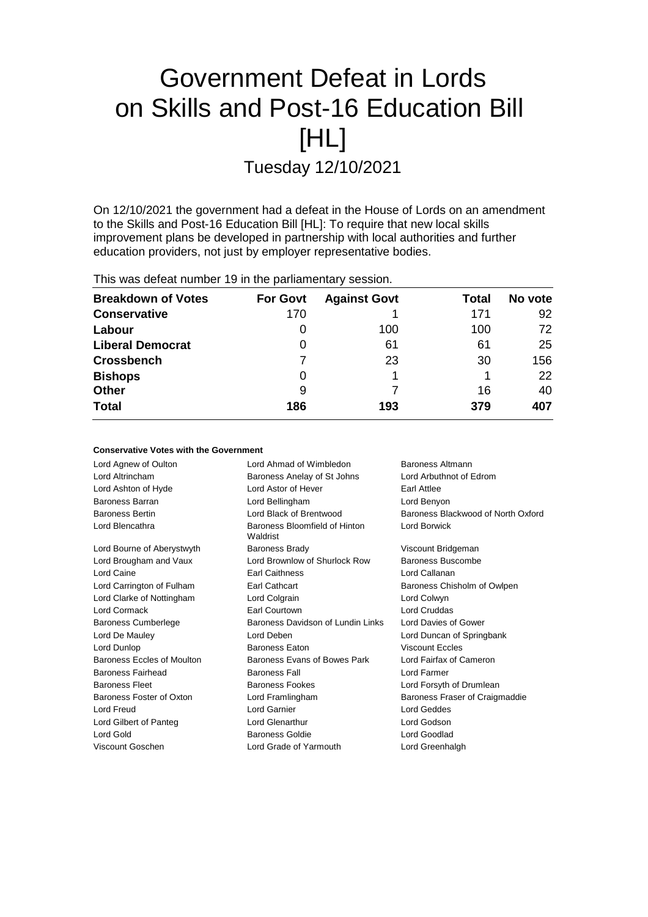# Government Defeat in Lords on Skills and Post-16 Education Bill [HL]

Tuesday 12/10/2021

On 12/10/2021 the government had a defeat in the House of Lords on an amendment to the Skills and Post-16 Education Bill [HL]: To require that new local skills improvement plans be developed in partnership with local authorities and further education providers, not just by employer representative bodies.

This was defeat number 19 in the parliamentary session.

| <b>Breakdown of Votes</b> | <b>For Govt</b> | <b>Against Govt</b> | Total | No vote |
|---------------------------|-----------------|---------------------|-------|---------|
| <b>Conservative</b>       | 170             |                     | 171   | 92      |
| Labour                    | 0               | 100                 | 100   | 72      |
| <b>Liberal Democrat</b>   | 0               | 61                  | 61    | 25      |
| <b>Crossbench</b>         |                 | 23                  | 30    | 156     |
| <b>Bishops</b>            | 0               |                     |       | 22      |
| <b>Other</b>              | 9               |                     | 16    | 40      |
| <b>Total</b>              | 186             | 193                 | 379   | 407     |

# **Conservative Votes with the Government**

| Lord Agnew of Oulton       | Lord Ahmad of Wimbledon                   | Baroness Altmann                   |  |
|----------------------------|-------------------------------------------|------------------------------------|--|
| Lord Altrincham            | Baroness Anelay of St Johns               | Lord Arbuthnot of Edrom            |  |
| Lord Ashton of Hyde        | Lord Astor of Hever                       | Earl Attlee                        |  |
| <b>Baroness Barran</b>     | Lord Bellingham                           | Lord Benyon                        |  |
| <b>Baroness Bertin</b>     | Lord Black of Brentwood                   | Baroness Blackwood of North Oxford |  |
| Lord Blencathra            | Baroness Bloomfield of Hinton<br>Waldrist | Lord Borwick                       |  |
| Lord Bourne of Aberystwyth | <b>Baroness Brady</b>                     | Viscount Bridgeman                 |  |
| Lord Brougham and Vaux     | Lord Brownlow of Shurlock Row             | Baroness Buscombe                  |  |
| Lord Caine                 | <b>Earl Caithness</b>                     | Lord Callanan                      |  |
| Lord Carrington of Fulham  | Earl Cathcart                             | Baroness Chisholm of Owlpen        |  |
| Lord Clarke of Nottingham  | Lord Colgrain                             | Lord Colwyn                        |  |
| Lord Cormack               | Earl Courtown                             | Lord Cruddas                       |  |
| <b>Baroness Cumberlege</b> | Baroness Davidson of Lundin Links         | Lord Davies of Gower               |  |
| Lord De Mauley             | Lord Deben                                | Lord Duncan of Springbank          |  |
| Lord Dunlop                | <b>Baroness Eaton</b>                     | <b>Viscount Eccles</b>             |  |
| Baroness Eccles of Moulton | Baroness Evans of Bowes Park              | Lord Fairfax of Cameron            |  |
| Baroness Fairhead          | <b>Baroness Fall</b>                      | Lord Farmer                        |  |
| <b>Baroness Fleet</b>      | <b>Baroness Fookes</b>                    | Lord Forsyth of Drumlean           |  |
| Baroness Foster of Oxton   | Lord Framlingham                          | Baroness Fraser of Craigmaddie     |  |
| Lord Freud                 | Lord Garnier                              | Lord Geddes                        |  |
| Lord Gilbert of Panteg     | <b>Lord Glenarthur</b>                    | Lord Godson                        |  |
| Lord Gold                  | <b>Baroness Goldie</b>                    | Lord Goodlad                       |  |
| Viscount Goschen           | Lord Grade of Yarmouth                    | Lord Greenhalgh                    |  |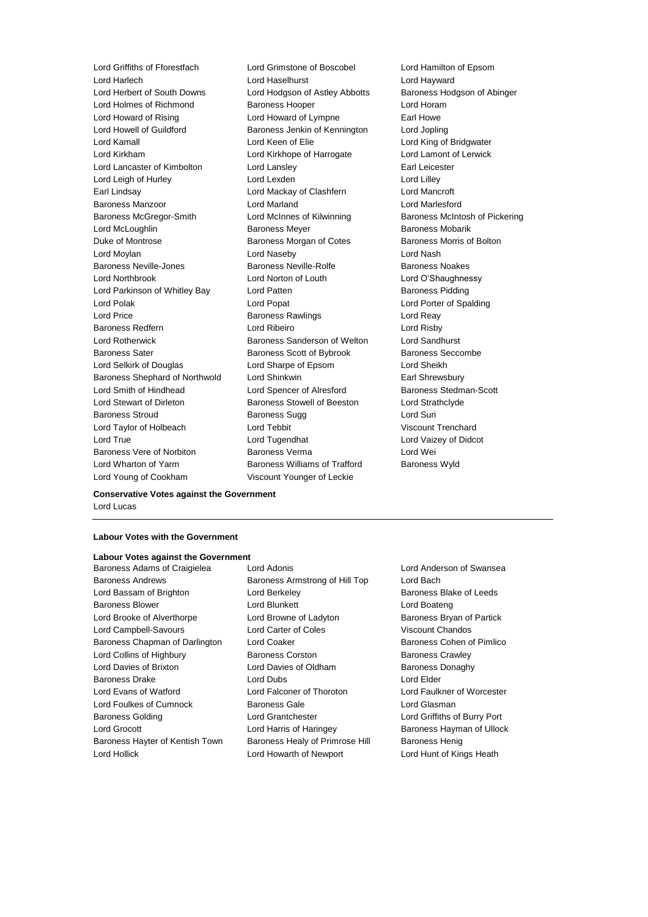Lord Harlech Lord Haselhurst Lord Hayward Lord Herbert of South Downs Lord Hodgson of Astley Abbotts Baroness Hodgson of Abinger Lord Holmes of Richmond Baroness Hooper Lord Horam Lord Howard of Rising **Lord Howard of Lympne** Earl Howe Lord Howell of Guildford Baroness Jenkin of Kennington Lord Jopling Lord Kamall Lord Keen of Elie Lord King of Bridgwater Lord Kirkham Lord Kirkhope of Harrogate Lord Lamont of Lerwick Lord Lancaster of Kimbolton Lord Lansley **Earl Leicester** Earl Leicester Lord Leigh of Hurley **Lord Lexden** Lord Lexden **Lord Lilley** Earl Lindsay Lord Mackay of Clashfern Lord Mancroft Baroness Manzoor Lord Marland Lord Marlesford Baroness McGregor-Smith Lord McInnes of Kilwinning Baroness McIntosh of Pickering Lord McLoughlin **Baroness Meyer** Baroness Meyer **Baroness Mobarik** Duke of Montrose Baroness Morgan of Cotes Baroness Morris of Bolton Lord Moylan Lord Naseby Lord Nash Baroness Neville-Jones **Baroness Neville-Rolfe** Baroness Noakes Lord Northbrook Lord Norton of Louth Lord O'Shaughnessy Lord Parkinson of Whitley Bay Lord Patten **Baroness Pidding** Lord Polak Lord Popat Lord Porter of Spalding Lord Price **Baroness Rawlings** Lord Reay Baroness Redfern Lord Ribeiro Lord Risby Lord Rotherwick Baroness Sanderson of Welton Lord Sandhurst Baroness Sater **Baroness Scott of Bybrook** Baroness Seccombe Lord Selkirk of Douglas Lord Sharpe of Epsom Lord Sheikh Baroness Shephard of Northwold Lord Shinkwin **Earl Shrewsbury** Lord Smith of Hindhead Lord Spencer of Alresford Baroness Stedman-Scott Lord Stewart of Dirleton **Baroness Stowell of Beeston** Lord Strathclyde Baroness Stroud Baroness Sugg Lord Suri Lord Taylor of Holbeach Lord Tebbit Viscount Trenchard Lord True Lord Tugendhat Lord Vaizey of Didcot Baroness Vere of Norbiton Baroness Verma Lord Wei Lord Wharton of Yarm **Baroness Williams of Trafford** Baroness Wyld

Lord Griffiths of Fforestfach Lord Grimstone of Boscobel Lord Hamilton of Epsom Lord Young of Cookham Viscount Younger of Leckie

**Conservative Votes against the Government** Lord Lucas

# **Labour Votes with the Government**

# **Labour Votes against the Government**

Baroness Andrews **Baroness Armstrong of Hill Top** Lord Bach Lord Bassam of Brighton **Lord Berkeley Baroness Blake of Leeds Baroness Blake of Leeds** Baroness Blower **Lord Blunkett** Lord Boateng Lord Boateng Lord Brooke of Alverthorpe Lord Browne of Ladyton Baroness Bryan of Partick Lord Campbell-Savours Lord Carter of Coles Viscount Chandos Baroness Chapman of Darlington Lord Coaker **Baroness Cohen of Pimlico** Baroness Cohen of Pimlico Lord Collins of Highbury **Baroness Corston** Baroness Corston Baroness Crawley Lord Davies of Brixton **Lord Davies of Oldham** Baroness Donaghy Baroness Drake Lord Dubs Lord Elder Lord Evans of Watford Lord Falconer of Thoroton Lord Faulkner of Worcester Lord Foulkes of Cumnock Baroness Gale Lord Glasman Baroness Golding Lord Grantchester Lord Griffiths of Burry Port Lord Grocott **Lord Harris of Haringey** Baroness Hayman of Ullock Baroness Hayter of Kentish Town Baroness Healy of Primrose Hill Baroness Henig

Baroness Adams of Craigielea Lord Adonis Lord Anderson of Swansea Lord Hollick Lord Howarth of Newport Lord Hunt of Kings Heath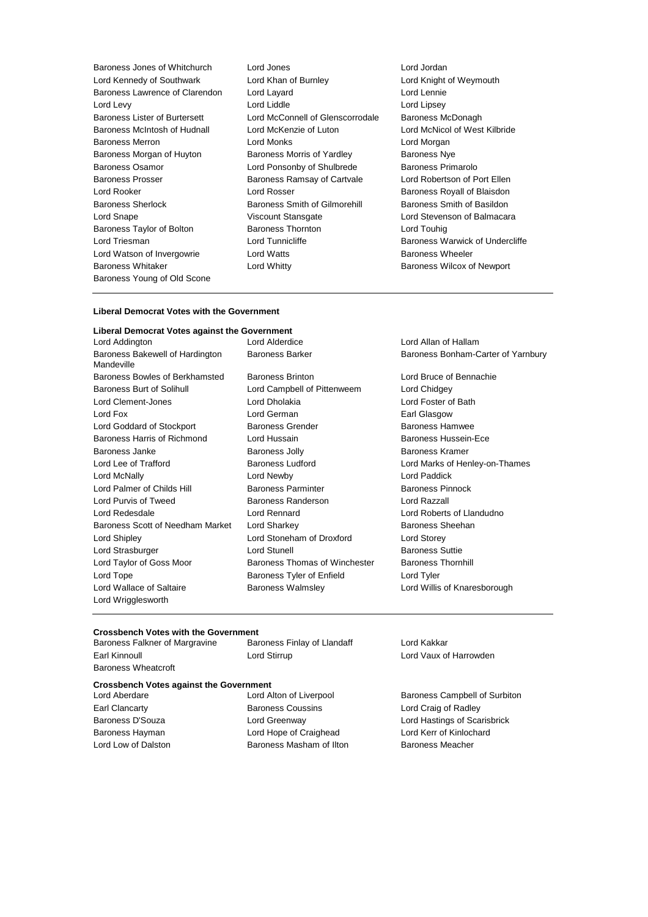Lord Kennedy of Southwark Lord Khan of Burnley **Lord Knight of Weymouth** Baroness Lawrence of Clarendon Lord Layard Lord Lennie Lord Levy Lord Liddle Lord Lipsey Baroness Lister of Burtersett Lord McConnell of Glenscorrodale Baroness McDonagh Baroness McIntosh of Hudnall Lord McKenzie of Luton Lord McNicol of West Kilbride Baroness Merron Lord Monks Lord Morgan Baroness Morgan of Huyton Baroness Morris of Yardley Baroness Nye Baroness Osamor Lord Ponsonby of Shulbrede Baroness Primarolo Baroness Prosser **Baroness Ramsay of Cartvale** Lord Robertson of Port Ellen Lord Rooker **Lord Rosser** Communication Communication Coronal Accord Rosser **Baroness Royall of Blaisdon** Baroness Sherlock Baroness Smith of Gilmorehill Baroness Smith of Basildon Lord Snape Viscount Stansgate Lord Stevenson of Balmacara Baroness Taylor of Bolton Baroness Thornton Lord Touhig Lord Triesman **Lord Tunnicliffe Baroness Warwick of Undercliffe Baroness Warwick of Undercliffe** Lord Watson of Invergowrie Lord Watts Baroness Wheeler Baroness Whitaker **Lord Whitty Lord Whitty Baroness Wilcox of Newport** Baroness Young of Old Scone

Baroness Jones of Whitchurch Lord Jones Lord Jordan

#### **Liberal Democrat Votes with the Government**

#### **Liberal Democrat Votes against the Government**

Baroness Bakewell of Hardington Mandeville Baroness Bowles of Berkhamsted Baroness Brinton Lord Bruce of Bennachie Baroness Burt of Solihull **Lord Campbell of Pittenweem** Lord Chidgey Lord Clement-Jones Lord Dholakia Lord Foster of Bath Lord Fox **Lord German** Earl Glasgow **Earl Glasgow** Lord Goddard of Stockport **Baroness Grender** Baroness Hamwee Baroness Harris of Richmond Lord Hussain Baroness Hussein-Ece Baroness Janke **Baroness Jolly** Baroness Jolly **Baroness Kramer** Lord Lee of Trafford Baroness Ludford Lord Marks of Henley-on-Thames Lord McNally Lord Newby Lord Paddick Lord Palmer of Childs Hill **Baroness Parminter** Baroness Pinnock Lord Purvis of Tweed Baroness Randerson Lord Razzall Lord Redesdale Lord Rennard Lord Roberts of Llandudno Baroness Scott of Needham Market Lord Sharkey **Baroness Sheehan** Lord Shipley Lord Stoneham of Droxford Lord Storey Lord Strasburger Lord Stunell Baroness Suttie Lord Taylor of Goss Moor Baroness Thomas of Winchester Baroness Thornhill Lord Tope **Baroness Tyler of Enfield** Lord Tyler Lord Tyler Lord Wallace of Saltaire **Baroness Walmsley Communist Conduct And Manuel Conduct** Lord Willis of Knaresborough Lord Wrigglesworth

Lord Addington Lord Alderdice Lord Allan of Hallam Baroness Barker Baroness Bonham-Carter of Yarnbury

# **Crossbench Votes with the Government**<br>Baroness Falkner of Margravine Baroness Finlay of Llandaff

Baroness Wheatcroft

Baroness Falkner of Margravine Baroness Finlay of Llandaff Cord Kakkar Earl Kinnoull Lord Stirrup Lord Vaux of Harrowden

# **Crossbench Votes against the Government**

Earl Clancarty **Baroness Coussins** Lord Craig of Radley Baroness Hayman Lord Hope of Craighead Lord Kerr of Kinlochard Lord Low of Dalston **Baroness Masham of Ilton** Baroness Meacher

Lord Aberdare **Lord Alton of Liverpool** Baroness Campbell of Surbiton Baroness D'Souza Lord Greenway Lord Hastings of Scarisbrick